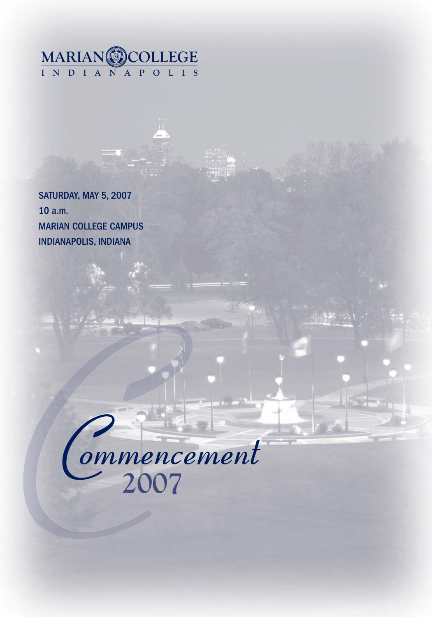

SATURDAY, MAY 5, 2007 10 a.m. MARIAN COLLEGE CAMPUS INDIANAPOLIS, INDIANA

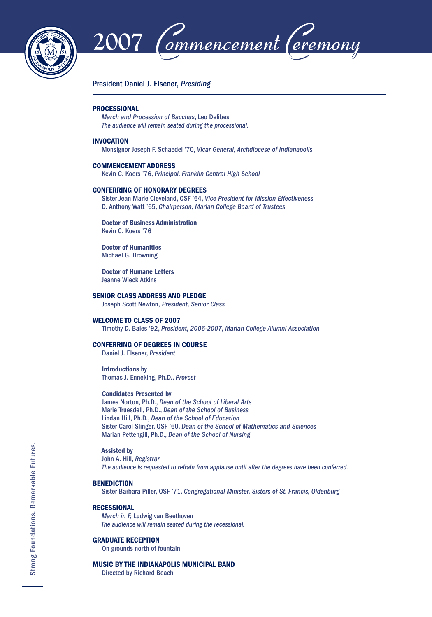



### President Daniel J. Elsener, *Presiding*

### **PROCESSIONAL**

*March and Procession of Bacchus*, Leo Delibes *The audience will remain seated during the processional.*

### **INVOCATION**

Monsignor Joseph F. Schaedel '70, *Vicar General, Archdiocese of Indianapolis*

#### **COMMENCEMENT ADDRESS**

Kevin C. Koers '76, *Principal, Franklin Central High School*

### **CONFERRING OF HONORARY DEGREES**

 Sister Jean Marie Cleveland, OSF '64, *Vice President for Mission Effectiveness* D. Anthony Watt '65, *Chairperson, Marian College Board of Trustees*

 **Doctor of Business Administration** Kevin C. Koers '76

 **Doctor of Humanities** Michael G. Browning

 **Doctor of Humane Letters** Jeanne Wieck Atkins

### **SENIOR CLASS ADDRESS AND PLEDGE**

Joseph Scott Newton, *President, Senior Class*

### **WELCOME TO CLASS OF 2007**

Timothy D. Bales '92, *President, 2006-2007, Marian College Alumni Association*

### **CONFERRING OF DEGREES IN COURSE**

Daniel J. Elsener, *President*

 **Introductions by** Thomas J. Enneking, Ph.D., *Provost*

### **Candidates Presented by**

 James Norton, Ph.D., *Dean of the School of Liberal Arts* Marie Truesdell, Ph.D., *Dean of the School of Business* Lindan Hill, Ph.D., *Dean of the School of Education* Sister Carol Slinger, OSF '60, *Dean of the School of Mathematics and Sciences* Marian Pettengill, Ph.D., *Dean of the School of Nursing*

### **Assisted by**

 John A. Hill, *Registrar The audience is requested to refrain from applause until after the degrees have been conferred.*

### **BENEDICTION**

Sister Barbara Piller, OSF '71, *Congregational Minister, Sisters of St. Francis, Oldenburg*

### **RECESSIONAL**

 *March in F,* Ludwig van Beethoven  *The audience will remain seated during the recessional.*

#### **GRADUATE RECEPTION**

On grounds north of fountain

### **MUSIC BY THE INDIANAPOLIS MUNICIPAL BAND**

Directed by Richard Beach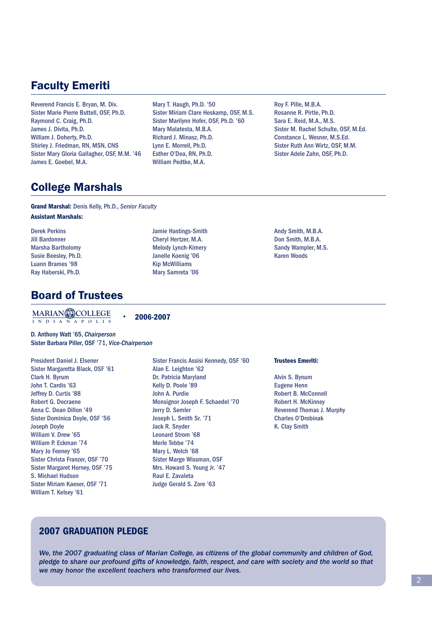# Faculty Emeriti

Reverend Francis E. Bryan, M. Div. Sister Marie Pierre Buttell, OSF, Ph.D. Raymond C. Craig, Ph.D. James J. Divita, Ph.D. William J. Doherty, Ph.D. Shirley J. Friedman, RN, MSN, CNS Sister Mary Gloria Gallagher, OSF, M.M. '46 James E. Goebel, M.A.

Mary T. Haugh, Ph.D. '50 Sister Miriam Clare Heskamp, OSF, M.S. Sister Marilynn Hofer, OSF, Ph.D. '60 Mary Malatesta, M.B.A. Richard J. Minasz, Ph.D. Lynn E. Morrell, Ph.D. Esther O'Dea, RN, Ph.D. William Pedtke, M.A.

Jamie Hastings-Smith Cheryl Hertzer, M.A. Melody Lynch-Kimery Janelle Koenig '06 Kip McWilliams Mary Samreta '06

Roy F. Pille, M.B.A. Rosanne R. Pirtle, Ph.D. Sara E. Reid, M.A., M.S. Sister M. Rachel Schulte, OSF, M.Ed. Constance L. Wesner, M.S.Ed. Sister Ruth Ann Wirtz, OSF, M.M. Sister Adele Zahn, OSF, Ph.D.

# College Marshals

**Grand Marshal:** Denis Kelly, Ph.D., *Senior Faculty* **Assistant Marshals:**

Derek Perkins Jill Bardonner Marsha Bartholomy Susie Beesley, Ph.D. Luann Brames '98 Ray Haberski, Ph.D.

# Board of Trustees

**INDIANAPOLIS MARIAN COLLEGE**

**2006-2007**

D. Anthony Watt '65, *Chairperson* Sister Barbara Piller, OSF '71, *Vice-Chairperson*

President Daniel J. Elsener Sister Margaretta Black, OSF '61 Clark H. Byrum John T. Cardis '63 Jeffrey D. Curtis '88 Robert G. Decraene Anna C. Dean Dillon '49 Sister Dominica Doyle, OSF '56 Joseph Doyle William V. Drew '65 William P. Eckman '74 Mary Jo Feeney '65 Sister Christa Franzer, OSF '70 Sister Margaret Horney, OSF '75 S. Michael Hudson Sister Miriam Kaeser, OSF '71 William T. Kelsey '61

Sister Francis Assisi Kennedy, OSF '60 Alan E. Leighton '62 Dr. Patricia Maryland Kelly D. Poole '89 John A. Purdie Monsignor Joseph F. Schaedel '70 Jerry D. Semler Joseph L. Smith Sr. '71 Jack R. Snyder Leonard Strom '68 Merle Tebbe '74 Mary L. Welch '68 Sister Marge Wissman, OSF Mrs. Howard S. Young Jr. '47 Raul E. Zavaleta Judge Gerald S. Zore '63

### **Trustees Emeriti:**

Andy Smith, M.B.A. Don Smith, M.B.A. Sandy Wampler, M.S. Karen Woods

Alvin S. Bynum Eugene Henn Robert B. McConnell Robert H. McKinney Reverend Thomas J. Murphy Charles O'Drobinak K. Clay Smith

### **2007 GRADUATION PLEDGE**

*We, the 2007 graduating class of Marian College, as citizens of the global community and children of God, pledge to share our profound gifts of knowledge, faith, respect, and care with society and the world so that we may honor the excellent teachers who transformed our lives.*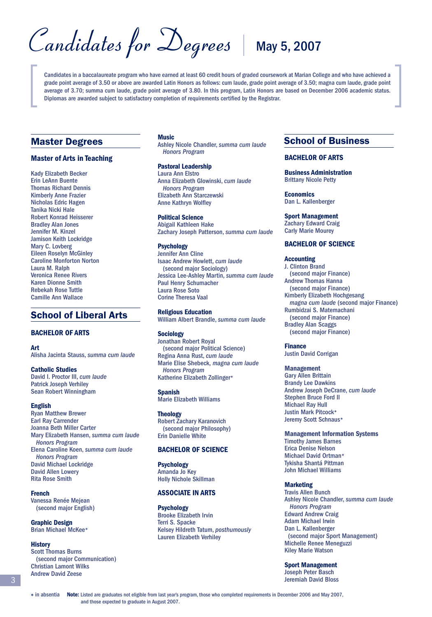Candidates for Degrees | May 5, 2007

Candidates in a baccalaureate program who have earned at least 60 credit hours of graded coursework at Marian College and who have achieved a grade point average of 3.50 or above are awarded Latin Honors as follows: cum laude, grade point average of 3.50; magna cum laude, grade point average of 3.70; summa cum laude, grade point average of 3.80. In this program, Latin Honors are based on December 2006 academic status. Diplomas are awarded subject to satisfactory completion of requirements certified by the Registrar.

### Master Degrees

### **Master of Arts in Teaching**

Kady Elizabeth Becker Erin LeAnn Buente Thomas Richard Dennis Kimberly Anne Frazier Nicholas Edric Hagen Tanika Nicki Hale Robert Konrad Heisserer Bradley Alan Jones Jennifer M. Kinzel Jamison Keith Lockridge Mary C. Lovberg Eileen Roselyn McGinley Caroline Monforton Norton Laura M. Ralph Veronica Renee Rivers Karen Dionne Smith Rebekah Rose Tuttle Camille Ann Wallace

### School of Liberal Arts

### **BACHELOR OF ARTS**

### **Art**

Alisha Jacinta Stauss, *summa cum laude*

### **Catholic Studies**

David I. Proctor III, *cum laude* Patrick Joseph Verhiley Sean Robert Winningham

### **English**

Ryan Matthew Brewer Earl Ray Carrender Joanna Beth Miller Carter Mary Elizabeth Hansen, *summa cum laude Honors Program* Elena Caroline Koen, *summa cum laude Honors Program* David Michael Lockridge David Allen Lowery Rita Rose Smith

#### **French**

Vanessa Renée Mejean (second major English)

**Graphic Design** Brian Michael McKee\*

### **History**

Scott Thomas Burns (second major Communication) Christian Lamont Wilks Andrew David Zeese

### **Music**

Ashley Nicole Chandler, *summa cum laude Honors Program*

**Pastoral Leadership** Laura Ann Elstro Anna Elizabeth Glowinski, *cum laude Honors Program* Elizabeth Ann Starczewski **Anne Kathryn Wolfley** 

**Political Science** Abigail Kathleen Hake Zachary Joseph Patterson, *summa cum laude*

### **Psychology**

Jennifer Ann Cline Isaac Andrew Howlett, *cum laude* (second major Sociology) Jessica Lee-Ashley Martin, *summa cum laude* Paul Henry Schumacher Laura Rose Soto Corine Theresa Vaal

**Religious Education** William Albert Brandle, *summa cum laude*

### **Sociology**

Jonathan Robert Royal (second major Political Science) Regina Anna Rust, *cum laude* Marie Elise Shebeck, *magna cum laude Honors Program* Katherine Elizabeth Zollinger\*

**Spanish** Marie Elizabeth Williams

**Theology** Robert Zachary Karanovich (second major Philosophy) Erin Danielle White

### **BACHELOR OF SCIENCE**

**Psychology** Amanda Jo Key Holly Nichole Skillman

### **ASSOCIATE IN ARTS**

**Psychology** Brooke Elizabeth Irvin Terri S. Spacke Kelsey Hildreth Tatum, *posthumously* Lauren Elizabeth Verhiley

### School of Business

### **BACHELOR OF ARTS**

**Business Administration** Brittany Nicole Petty

**Economics** Dan L. Kallenberger

### **Sport Management**

Zachary Edward Craig Carly Marie Mourey

### **BACHELOR OF SCIENCE**

### **Accounting**

J. Clinton Brand (second major Finance) Andrew Thomas Hanna (second major Finance) Kimberly Elizabeth Hochgesang *magna cum laude* (second major Finance) Rumbidzai S. Matemachani (second major Finance) Bradley Alan Scaggs (second major Finance)

**Finance** Justin David Corrigan

**Management** Gary Allen Brittain Brandy Lee Dawkins Andrew Joseph DeCrane, *cum laude* Stephen Bruce Ford II Michael Ray Hull Justin Mark Pitcock\* Jeremy Scott Schnaus\*

### **Management Information Systems**

Timothy James Barnes Erica Denise Nelson Michael David Ortman\* Tykisha Shantá Pittman John Michael Williams

### **Marketing**

Travis Allen Bunch Ashley Nicole Chandler, *summa cum laude Honors Program* Edward Andrew Craig Adam Michael Irwin Dan L. Kallenberger (second major Sport Management) Michelle Renee Meneguzzi Kiley Marie Watson

### **Sport Management**

Joseph Peter Basch Jeremiah David Bloss

 in absentia **Note:** Listed are graduates not eligible from last year's program, those who completed requirements in December 2006 and May 2007, and those expected to graduate in August 2007.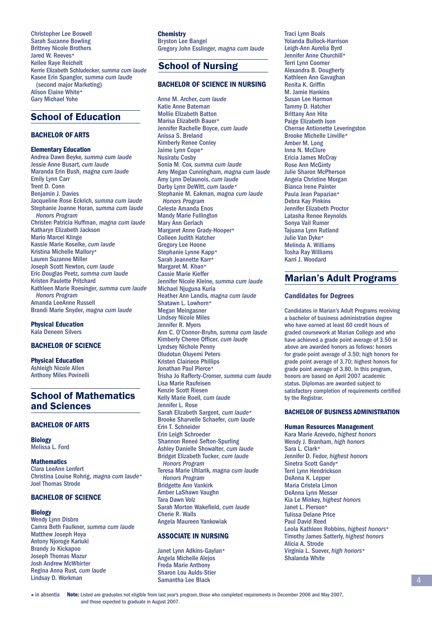Christopher Lee Boswell Sarah Suzanne Bowling Brittney Nicole Brothers Jared W. Reeves\* Kellee Raye Reichelt Kerrie Elizabeth Schludecker, *summa cum laude* Kasee Erin Spangler*, summa cum laude* (second major Marketing) Alison Elaine White\* Gary Michael Yohe

### School of Education

### **BACHELOR OF ARTS**

**Elementary Education** Andrea Dawn Beyke*, summa cum laude* Jessie Anne Busart*, cum laude* Maranda Erin Bush, *magna cum laude* Emily Lynn Carr Trent D. Conn Benjamin J. Davies Jacqueline Rose Eckrich*, summa cum laude* Stephanie Joanne Horan*, summa cum laude Honors Program* Christen Patricia Huffman, *magna cum laude* Katharyn Elizabeth Jackson Mario Marcel Klinge Kassie Marie Koselke, *cum laude* Kristina Michelle Mallory\* Lauren Suzanne Miller Joseph Scott Newton*, cum laude* Eric Douglas Peetz*, summa cum laude* Kristen Paulette Pritchard Kathleen Marie Roesinger*, summa cum laude Honors Program* Amanda LeeAnne Russell Brandi Marie Snyder, *magna cum laude*

**Physical Education** Kala Deneen Silvers

### **BACHELOR OF SCIENCE**

**Physical Education** Ashleigh Nicole Allen Anthony Miles Povinelli

### School of Mathematics and Sciences

### **BACHELOR OF ARTS**

**Biology** Melissa L. Ford

**Mathematics** Clara LeeAnn Lenfert Christina Louise Rohrig, *magna cum laude\** Joel Thomas Strode

### **BACHELOR OF SCIENCE**

# **Biology**

Wendy Lynn Disbro Camra Beth Faulkner*, summa cum laude* Matthew Joseph Hoya Antony Njoroge Kariuki Brandy Jo Kickapoo Joseph Thomas Mazur Josh Andrew McWhirter Regina Anna Rust*, cum laude* Lindsay D. Workman

**Chemistry** Bryston Lee Bangel Gregory John Esslinger, *magna cum laude*

## School of Nursing

### **BACHELOR OF SCIENCE IN NURSING**

Anne M. Archer, *cum laude* Katie Anne Bateman Mollie Elizabeth Batton Marisa Elizabeth Bauer\* Jennifer Rachelle Boyce, *cum laude* Anissa S. Breland Kimberly Renee Conley Jaime Lynn Cope\* Nusiratu Cosby Sonia M. Cox*, summa cum laude* Amy Megan Cunningham*, magna cum laude* Amy Lynn Delaunois, *cum laude* Darby Lynn DeWitt, *cum laude\** Stephanie M. Eakman*, magna cum laude Honors Program* Celeste Amanda Enos Mandy Marie Fullington Mary Ann Gerlach Margaret Anne Grady-Hooper\* Colleen Judith Hatcher Gregory Lee Hoone Stephanie Lynne Kapp\* Sarah Jeannette Karr\* Margaret M. Khan\* Cassie Marie Kieffer Jennifer Nicole Kleine*, summa cum laude* Michael Njuguna Kuria Heather Ann Landis*, magna cum laude* Shatawn L. Lowhorn\* Megan Meingasner Lindsey Nicole Miles Jennifer R. Myers Ann C. O'Connor-Bruhn*, summa cum laude* Kimberly Cheree Officer, cum laude Lyndsey Nichole Penny Oludotun Oluyemi Peters Kristen Clairiece Phillips Jonathan Paul Pierce\* Trisha Jo Rafferty-Cromer*, summa cum laude* Lisa Marie Raufeisen Kenzie Scott Riesen Kelly Marie Roell*, cum laude* Jennifer L. Rose Sarah Elizabeth Sargent, *cum laude*\* Brooke Sharvelle Schaefer, *cum laude* Erin T. Schneider Erin Leigh Schroeder Shannon Reneé Sefton-Spurling Ashley Danielle Showalter, *cum laude* Bridget Elizabeth Tucker, *cum laude Honors Program* Teresa Marie Uhlarik*, magna cum laude Honors Program* Bridgette Ann Vankirk Amber LaShawn Vaughn Tara Dawn Volz Sarah Morton Wakefield, cum laude Cherie R. Walls Angela Maureen Yankowiak

### **ASSOCIATE IN NURSING**

Janet Lynn Adkins-Gaylan\* Angela Michelle Alejos Freda Marie Anthony Sharon Lou Aulds-Stier Samantha Lee Black

Traci Lynn Boals Yolanda Bullock-Harrison Leigh-Ann Aurelia Byrd Jennifer Anne Churchill\* Terri Lynn Coomer Alexandra B. Dougherty Kathleen Ann Gavaghan Renita K. Griffin M. Jamie Hankins Susan Lee Harmon Tammy D. Hatcher Brittany Ann Hite Paige Elizabeth Ison Cherrae Antionette Leveringston Brooke Michelle Linville\* Amber M. Long Inna N. McClure Ericia James McCray Rose Ann McGinty Julie Sharon McPherson Angela Christine Morgan Bianca Irene Painter Paula Jean Papazian\* Debra Kay Pinkins Jennifer Elizabeth Proctor Latasha Renee Reynolds Sonya Vail Rumer Tajuana Lynn Rutland Julie Van Dyke\* Melinda A. Williams Tosha Ray Williams Karri J. Woodard

### Marian's Adult Programs

#### **Candidates for Degrees**

Candidates in Marian's Adult Programs receiving a bachelor of business administration degree who have earned at least 60 credit hours of graded coursework at Marian College and who have achieved a grade point average of 3.50 or above are awarded honors as follows: honors for grade point average of 3.50; high honors for grade point average of 3.70; highest honors for grade point average of 3.80. In this program, honors are based on April 2007 academic status. Diplomas are awarded subject to satisfactory completion of requirements certified by the Registrar.

### **BACHELOR OF BUSINESS ADMINISTRATION**

#### **Human Resources Management**

Kara Marie Azevedo, *highest honors* Wendy J. Branham, *high honors* Sara L. Clark\* Jennifer D. Fedor, *highest honors* Sinetra Scott Gandy\* Terri Lynn Hendrickson DeAnna K. Lepper Maria Cristela Limon DeAnna Lynn Messer Kia Le Minkey, *highest honors* Janet L. Pierson\* Tulissa Delane Price Paul David Reed Leola Kathleen Robbins, *highest honors*\* Timothy James Satterly, *highest honors* Alicia A. Strode Virginia L. Suever, *high honors*\* Shalanda White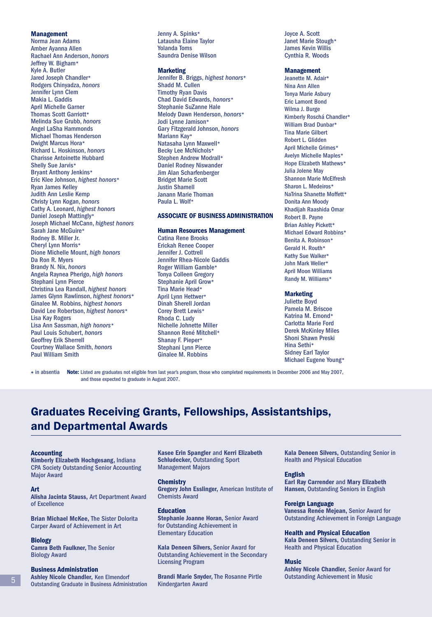#### **Management**

Norma Jean Adams Amber Ayanna Allen Rachael Ann Anderson, *honors* Jeffrey W. Bigham\* Kyle A. Butler Jared Joseph Chandler\* Rodgers Chinyadza, *honors* Jennifer Lynn Clem Makia L. Gaddis April Michelle Garner Thomas Scott Garriott\* Melinda Sue Grubb, *honors* Angel LaSha Hammonds Michael Thomas Henderson Dwight Marcus Hora\* Richard L. Hoskinson, *honors* Charisse Antoinette Hubbard Shelly Sue Jarvis\* Bryant Anthony Jenkins\* Eric Klee Johnson, *highest honors*\* Ryan James Kelley Judith Ann Leslie Kemp Christy Lynn Kogan, *honors* Cathy A. Leonard, *highest honors* Daniel Joseph Mattingly\* Joseph Michael McCann, *highest honors* Sarah Jane McGuire\* Rodney B. Miller Jr. Cheryl Lynn Morris\* Dione Michelle Mount, *high honors* Da Ron R. Myers Brandy N. Nix, *honors* Angela Raynea Pherigo, *high honors* Stephani Lynn Pierce Christina Lea Randall, *highest honors* James Glynn Rawlinson, *highest honors*\* Ginalee M. Robbins, *highest honors* David Lee Robertson, *highest honors*\* Lisa Kay Rogers Lisa Ann Sassman, *high honors\** Paul Louis Schubert, *honors* Geoffrey Erik Sherrell Courtney Wallace Smith, *honors* Paul William Smith

Jenny A. Spinks\* Latausha Elaine Taylor Yolanda Toms Saundra Denise Wilson

#### **Marketing**

Jennifer B. Briggs, *highest honors*\* Shadd M. Cullen Timothy Ryan Davis Chad David Edwards, *honors*\* Stephanie SuZanne Hale Melody Dawn Henderson, *honors*\* Jodi Lynne Jamison\* Gary Fitzgerald Johnson, *honors* Mariann Kay\* Natasaha Lynn Maxwell\* Becky Lee McNichols\* Stephen Andrew Modrall\* Daniel Rodney Niswander Jim Alan Scharfenberger Bridget Marie Scott Justin Shamell Janann Marie Thoman Paula L. Wolf\*

### **ASSOCIATE OF BUSINESS ADMINISTRATION**

### **Human Resources Management**

Catina Rene Brooks Erickah Renee Cooper Jennifer J. Cottrell Jennifer Rhea-Nicole Gaddis Roger William Gamble\* Tonya Colleen Gregory Stephanie April Grow\* Tina Marie Head\* April Lynn Hettwer\* Dinah Sherell Jordan Corey Brett Lewis\* Rhoda C. Ludy Nichelle Johnette Miller Shannon René Mitchell\* Shanay F. Pieper\* Stephani Lynn Pierce Ginalee M. Robbins

Joyce A. Scott Janet Marie Stough\* James Kevin Willis Cynthia R. Woods

### **Management**

Jeanette M. Adair\* Nina Ann Allen Tonya Marie Asbury Eric Lamont Bond Wilma J. Burge Kimberly Roschá Chandler\* William Brad Dunbar\* Tina Marie Gilbert Robert L. Glidden April Michelle Grimes\* Avelyn Michelle Maples\* Hope Elizabeth Mathews\* Julia Jolene May Shannon Marie McElfresh Sharon L. Medeiros\* NaTrina Shanette Moffett\* Donita Ann Moody Khadijah Raashida Omar Robert B. Payne Brian Ashley Pickett\* Michael Edward Robbins\* Benita A. Robinson\* Gerald H. Routh\* Kathy Sue Walker\* John Mark Weller\* April Moon Williams Randy M. Williams\*

### **Marketing**

Juliette Boyd Pamela M. Briscoe Katrina M. Emond\* Carlotta Marie Ford Derek McKinley Miles Shoni Shawn Preski Hina Sethi\* Sidney Earl Taylor Michael Eugene Young\*

 in absentia **Note:** Listed are graduates not eligible from last year's program, those who completed requirements in December 2006 and May 2007, and those expected to graduate in August 2007.

# Graduates Receiving Grants, Fellowships, Assistantships, and Departmental Awards

#### **Accounting**

**Kimberly Elizabeth Hochgesang,** Indiana CPA Society Outstanding Senior Accounting Major Award

### **Art**

**Alisha Jacinta Stauss,** Art Department Award of Excellence

**Brian Michael McKee,** The Sister Dolorita Carper Award of Achievement in Art

#### **Biology**

**Camra Beth Faulkner,** The Senior Biology Award

### **Business Administration**

**Ashley Nicole Chandler,** Ken Elmendorf Outstanding Graduate in Business Administration **Kasee Erin Spangler** and **Kerri Elizabeth Schludecker,** Outstanding Sport Management Majors

#### **Chemistry**

**Gregory John Esslinger,** American Institute of Chemists Award

**Education Stephanie Joanne Horan,** Senior Award for Outstanding Achievement in Elementary Education

**Kala Deneen Silvers,** Senior Award for Outstanding Achievement in the Secondary Licensing Program

**Brandi Marie Snyder,** The Rosanne Pirtle Kindergarten Award

**Kala Deneen Silvers,** Outstanding Senior in Health and Physical Education

**English**

**Earl Ray Carrender** and **Mary Elizabeth Hansen,** Outstanding Seniors in English

**Foreign Language Vanessa Renée Mejean,** Senior Award for

Outstanding Achievement in Foreign Language

**Health and Physical Education**

**Kala Deneen Silvers,** Outstanding Senior in Health and Physical Education

### **Music**

**Ashley Nicole Chandler,** Senior Award for Outstanding Achievement in Music

5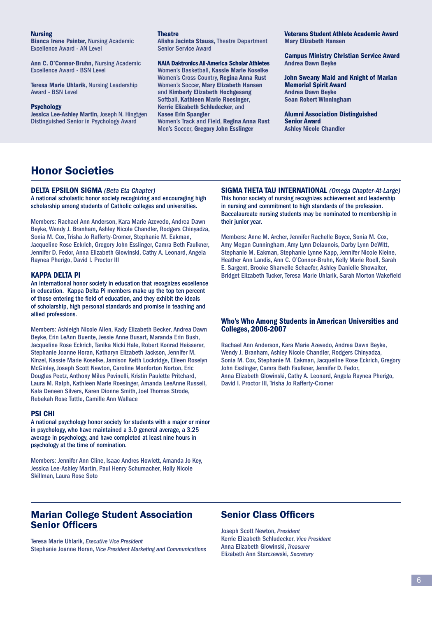#### **Nursing**

**Bianca Irene Painter,** Nursing Academic Excellence Award - AN Level

**Ann C. O'Connor-Bruhn,** Nursing Academic Excellence Award - BSN Level

**Teresa Marie Uhlarik,** Nursing Leadership Award - BSN Level

#### **Psychology**

**Jessica Lee-Ashley Martin,** Joseph N. Hingtgen Distinguished Senior in Psychology Award

**Theatre**

**Alisha Jacinta Stauss,** Theatre Department Senior Service Award

**NAIA Daktronics All-America Scholar Athletes** Women's Basketball, **Kassie Marie Koselke** Women's Cross Country, **Regina Anna Rust** Women's Soccer, **Mary Elizabeth Hansen** and **Kimberly Elizabeth Hochgesang** Softball, **Kathleen Marie Roesinger**, **Kerrie Elizabeth Schludecker**, and **Kasee Erin Spangler** Women's Track and Field, **Regina Anna Rust** Men's Soccer, **Gregory John Esslinger**

**Veterans Student Athlete Academic Award Mary Elizabeth Hansen**

**Campus Ministry Christian Service Award Andrea Dawn Beyke**

**John Sweany Maid and Knight of Marian Memorial Spirit Award Andrea Dawn Beyke Sean Robert Winningham**

**Alumni Association Distinguished Senior Award Ashley Nicole Chandler**

# Honor Societies

### **DELTA EPSILON SIGMA** *(Beta Eta Chapter)*

A national scholastic honor society recognizing and encouraging high scholarship among students of Catholic colleges and universities.

Members: Rachael Ann Anderson, Kara Marie Azevedo, Andrea Dawn Beyke, Wendy J. Branham, Ashley Nicole Chandler, Rodgers Chinyadza, Sonia M. Cox, Trisha Jo Rafferty-Cromer, Stephanie M. Eakman, Jacqueline Rose Eckrich, Gregory John Esslinger, Camra Beth Faulkner, Jennifer D. Fedor, Anna Elizabeth Glowinski, Cathy A. Leonard, Angela Raynea Pherigo, David I. Proctor III

### **KAPPA DELTA PI**

An international honor society in education that recognizes excellence in education. Kappa Delta Pi members make up the top ten percent of those entering the field of education, and they exhibit the ideals of scholarship, high personal standards and promise in teaching and allied professions.

Members: Ashleigh Nicole Allen, Kady Elizabeth Becker, Andrea Dawn Beyke, Erin LeAnn Buente, Jessie Anne Busart, Maranda Erin Bush, Jacqueline Rose Eckrich, Tanika Nicki Hale, Robert Konrad Heisserer, Stephanie Joanne Horan, Katharyn Elizabeth Jackson, Jennifer M. Kinzel, Kassie Marie Koselke, Jamison Keith Lockridge, Eileen Roselyn McGinley, Joseph Scott Newton, Caroline Monforton Norton, Eric Douglas Peetz, Anthony Miles Povinelli, Kristin Paulette Pritchard, Laura M. Ralph, Kathleen Marie Roesinger, Amanda LeeAnne Russell, Kala Deneen Silvers, Karen Dionne Smith, Joel Thomas Strode, Rebekah Rose Tuttle, Camille Ann Wallace

### **PSI CHI**

A national psychology honor society for students with a major or minor in psychology, who have maintained a 3.0 general average, a 3.25 average in psychology, and have completed at least nine hours in psychology at the time of nomination.

Members: Jennifer Ann Cline, Isaac Andres Howlett, Amanda Jo Key, Jessica Lee-Ashley Martin, Paul Henry Schumacher, Holly Nicole Skillman, Laura Rose Soto

**SIGMA THETA TAU INTERNATIONAL** *(Omega Chapter-At-Large)*  This honor society of nursing recognizes achievement and leadership in nursing and commitment to high standards of the profession. Baccalaureate nursing students may be nominated to membership in their junior year.

Members: Anne M. Archer, Jennifer Rachelle Boyce, Sonia M. Cox, Amy Megan Cunningham, Amy Lynn Delaunois, Darby Lynn DeWitt, Stephanie M. Eakman, Stephanie Lynne Kapp, Jennifer Nicole Kleine, Heather Ann Landis, Ann C. O'Connor-Bruhn, Kelly Marie Roell, Sarah E. Sargent, Brooke Sharvelle Schaefer, Ashley Danielle Showalter, Bridget Elizabeth Tucker, Teresa Marie Uhlarik, Sarah Morton Wakefield

### **Who's Who Among Students in American Universities and Colleges, 2006-2007**

Rachael Ann Anderson, Kara Marie Azevedo, Andrea Dawn Beyke, Wendy J. Branham, Ashley Nicole Chandler, Rodgers Chinyadza, Sonia M. Cox, Stephanie M. Eakman, Jacqueline Rose Eckrich, Gregory John Esslinger, Camra Beth Faulkner, Jennifer D. Fedor, Anna Elizabeth Glowinski, Cathy A. Leonard, Angela Raynea Pherigo, David I. Proctor III, Trisha Jo Rafferty-Cromer

### Marian College Student Association **Senior Officers**

Teresa Marie Uhlarik, *Executive Vice President* Stephanie Joanne Horan, *Vice President Marketing and Communications*

### **Senior Class Officers**

Joseph Scott Newton, *President* Kerrie Elizabeth Schludecker, *Vice President* Anna Elizabeth Glowinski, *Treasurer* Elizabeth Ann Starczewski, *Secretary*